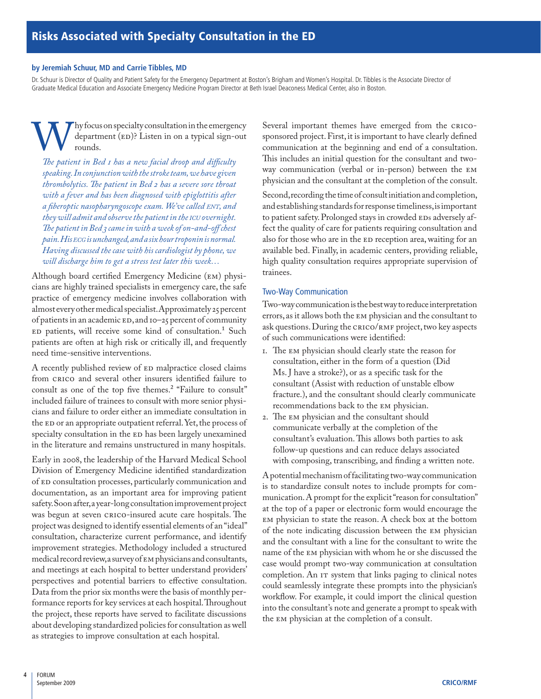### **by Jeremiah Schuur, MD and Carrie Tibbles, MD**

Dr. Schuur is Director of Quality and Patient Safety for the Emergency Department at Boston's Brigham and Women's Hospital. Dr. Tibbles is the Associate Director of Graduate Medical Education and Associate Emergency Medicine Program Director at Beth Israel Deaconess Medical Center, also in Boston.

**W** hy focus on specialty consultation in the emergency department (ED)? Listen in on a typical sign-out rounds.<br>The patient in Bed 1 has a new facial droop and difficulty department (ED)? Listen in on a typical sign-out rounds.

*speaking. In conjunction with the stroke team, we have given thrombolytics. The patient in Bed 2 has a severe sore throat with a fever and has been diagnosed with epiglottitis after a fiberoptic nasopharyngoscope exam. We've called ent, and they will admit and observe the patient in the icu overnight. The patient in Bed 3 came in with a week of on-and-off chest pain. His ecg is unchanged, and a six hour troponin is normal. Having discussed the case with his cardiologist by phone, we will discharge him to get a stress test later this week…*

Although board certified Emergency Medicine (EM) physicians are highly trained specialists in emergency care, the safe practice of emergency medicine involves collaboration with almost every other medical specialist. Approximately 25 percent of patients in an academic ED, and 10–25 percent of community ED patients, will receive some kind of consultation.<sup>1</sup> Such patients are often at high risk or critically ill, and frequently need time-sensitive interventions.

A recently published review of ED malpractice closed claims from CRICO and several other insurers identified failure to consult as one of the top five themes.2 "Failure to consult" included failure of trainees to consult with more senior physicians and failure to order either an immediate consultation in the ED or an appropriate outpatient referral. Yet, the process of specialty consultation in the ED has been largely unexamined in the literature and remains unstructured in many hospitals.

Early in 2008, the leadership of the Harvard Medical School Division of Emergency Medicine identified standardization of ED consultation processes, particularly communication and documentation, as an important area for improving patient safety. Soon after, a year-long consultation improvement project was begun at seven CRICO-insured acute care hospitals. The project was designed to identify essential elements of an "ideal" consultation, characterize current performance, and identify improvement strategies. Methodology included a structured medical record review, a survey of EM physicians and consultants, and meetings at each hospital to better understand providers' perspectives and potential barriers to effective consultation. Data from the prior six months were the basis of monthly performance reports for key services at each hospital. Throughout the project, these reports have served to facilitate discussions about developing standardized policies for consultation as well as strategies to improve consultation at each hospital.

Several important themes have emerged from the CRICOsponsored project. First, it is important to have clearly defined communication at the beginning and end of a consultation. This includes an initial question for the consultant and twoway communication (verbal or in-person) between the EM physician and the consultant at the completion of the consult.

Second, recording the time of consult initiation and completion, and establishing standards for response timeliness, is important to patient safety. Prolonged stays in crowded EDs adversely affect the quality of care for patients requiring consultation and also for those who are in the ED reception area, waiting for an available bed. Finally, in academic centers, providing reliable, high quality consultation requires appropriate supervision of trainees.

# Two-Way Communication

Two-way communication is the best way to reduce interpretation errors, as it allows both the EM physician and the consultant to ask questions. During the CRICO/RMF project, two key aspects of such communications were identified:

- 1. The EM physician should clearly state the reason for consultation, either in the form of a question (Did Ms. J have a stroke?), or as a specific task for the consultant (Assist with reduction of unstable elbow fracture.), and the consultant should clearly communicate recommendations back to the EM physician.
- 2. The EM physician and the consultant should communicate verbally at the completion of the consultant's evaluation. This allows both parties to ask follow-up questions and can reduce delays associated with composing, transcribing, and finding a written note.

A potential mechanism of facilitating two-way communication is to standardize consult notes to include prompts for communication. A prompt for the explicit "reason for consultation" at the top of a paper or electronic form would encourage the EM physician to state the reason. A check box at the bottom of the note indicating discussion between the EM physician and the consultant with a line for the consultant to write the name of the EM physician with whom he or she discussed the case would prompt two-way communication at consultation completion. An IT system that links paging to clinical notes could seamlessly integrate these prompts into the physician's workflow. For example, it could import the clinical question into the consultant's note and generate a prompt to speak with the EM physician at the completion of a consult.